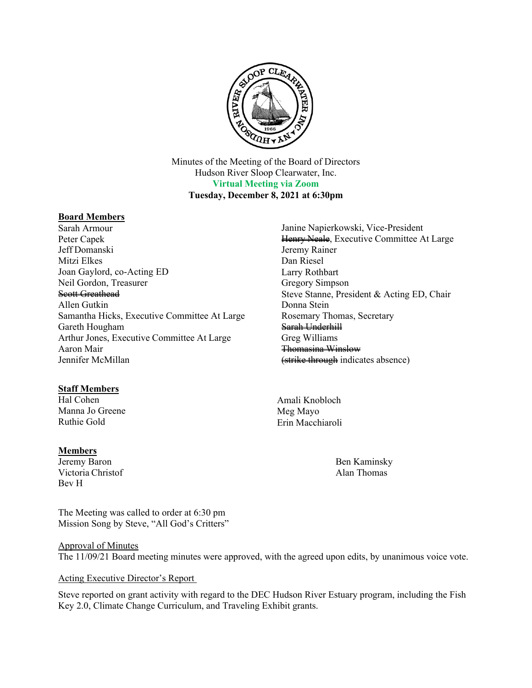

Minutes of the Meeting of the Board of Directors Hudson River Sloop Clearwater, Inc. **Virtual Meeting via Zoom Tuesday, December 8, 2021 at 6:30pm**

## **Board Members**

Sarah Armour Peter Capek Jeff Domanski Mitzi Elkes Joan Gaylord, co-Acting ED Neil Gordon, Treasurer Scott Greathead Allen Gutkin Samantha Hicks, Executive Committee At Large Gareth Hougham Arthur Jones, Executive Committee At Large Aaron Mair Jennifer McMillan

## **Staff Members**

Hal Cohen Manna Jo Greene Ruthie Gold

## **Members**

Jeremy Baron Victoria Christof Bev H

The Meeting was called to order at 6:30 pm Mission Song by Steve, "All God's Critters"

Jeremy Rainer Dan Riesel Larry Rothbart Gregory Simpson Steve Stanne, President & Acting ED, Chair Donna Stein Rosemary Thomas, Secretary Sarah Underhill Greg Williams Thomasina Winslow (strike through indicates absence)

Janine Napierkowski, Vice-President

Henry Neale, Executive Committee At Large

Amali Knobloch Meg Mayo Erin Macchiaroli

> Ben Kaminsky Alan Thomas

Approval of Minutes The 11/09/21 Board meeting minutes were approved, with the agreed upon edits, by unanimous voice vote.

#### Acting Executive Director's Report

Steve reported on grant activity with regard to the DEC Hudson River Estuary program, including the Fish Key 2.0, Climate Change Curriculum, and Traveling Exhibit grants.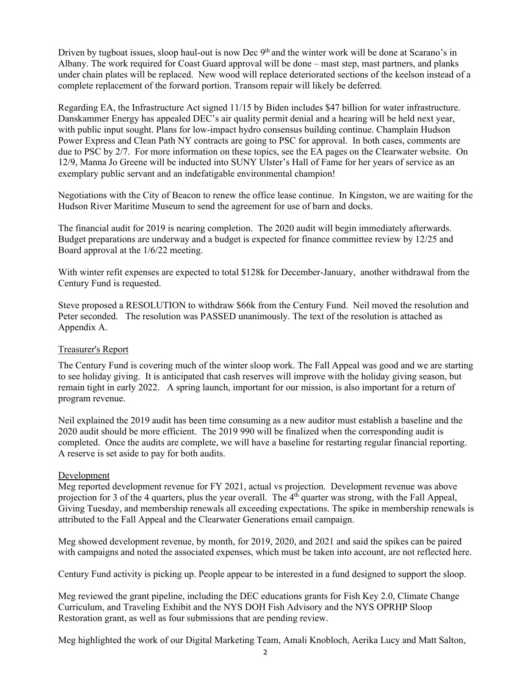Driven by tugboat issues, sloop haul-out is now Dec 9<sup>th</sup> and the winter work will be done at Scarano's in Albany. The work required for Coast Guard approval will be done – mast step, mast partners, and planks under chain plates will be replaced. New wood will replace deteriorated sections of the keelson instead of a complete replacement of the forward portion. Transom repair will likely be deferred.

Regarding EA, the Infrastructure Act signed 11/15 by Biden includes \$47 billion for water infrastructure. Danskammer Energy has appealed DEC's air quality permit denial and a hearing will be held next year, with public input sought. Plans for low-impact hydro consensus building continue. Champlain Hudson Power Express and Clean Path NY contracts are going to PSC for approval. In both cases, comments are due to PSC by 2/7. For more information on these topics, see the EA pages on the Clearwater website. On 12/9, Manna Jo Greene will be inducted into SUNY Ulster's Hall of Fame for her years of service as an exemplary public servant and an indefatigable environmental champion!

Negotiations with the City of Beacon to renew the office lease continue. In Kingston, we are waiting for the Hudson River Maritime Museum to send the agreement for use of barn and docks.

The financial audit for 2019 is nearing completion. The 2020 audit will begin immediately afterwards. Budget preparations are underway and a budget is expected for finance committee review by 12/25 and Board approval at the 1/6/22 meeting.

With winter refit expenses are expected to total \$128k for December-January, another withdrawal from the Century Fund is requested.

Steve proposed a RESOLUTION to withdraw \$66k from the Century Fund. Neil moved the resolution and Peter seconded. The resolution was PASSED unanimously. The text of the resolution is attached as Appendix A.

## Treasurer's Report

The Century Fund is covering much of the winter sloop work. The Fall Appeal was good and we are starting to see holiday giving. It is anticipated that cash reserves will improve with the holiday giving season, but remain tight in early 2022. A spring launch, important for our mission, is also important for a return of program revenue.

Neil explained the 2019 audit has been time consuming as a new auditor must establish a baseline and the 2020 audit should be more efficient. The 2019 990 will be finalized when the corresponding audit is completed. Once the audits are complete, we will have a baseline for restarting regular financial reporting. A reserve is set aside to pay for both audits.

#### Development

Meg reported development revenue for FY 2021, actual vs projection. Development revenue was above projection for 3 of the 4 quarters, plus the year overall. The  $4<sup>th</sup>$  quarter was strong, with the Fall Appeal, Giving Tuesday, and membership renewals all exceeding expectations. The spike in membership renewals is attributed to the Fall Appeal and the Clearwater Generations email campaign.

Meg showed development revenue, by month, for 2019, 2020, and 2021 and said the spikes can be paired with campaigns and noted the associated expenses, which must be taken into account, are not reflected here.

Century Fund activity is picking up. People appear to be interested in a fund designed to support the sloop.

Meg reviewed the grant pipeline, including the DEC educations grants for Fish Key 2.0, Climate Change Curriculum, and Traveling Exhibit and the NYS DOH Fish Advisory and the NYS OPRHP Sloop Restoration grant, as well as four submissions that are pending review.

Meg highlighted the work of our Digital Marketing Team, Amali Knobloch, Aerika Lucy and Matt Salton,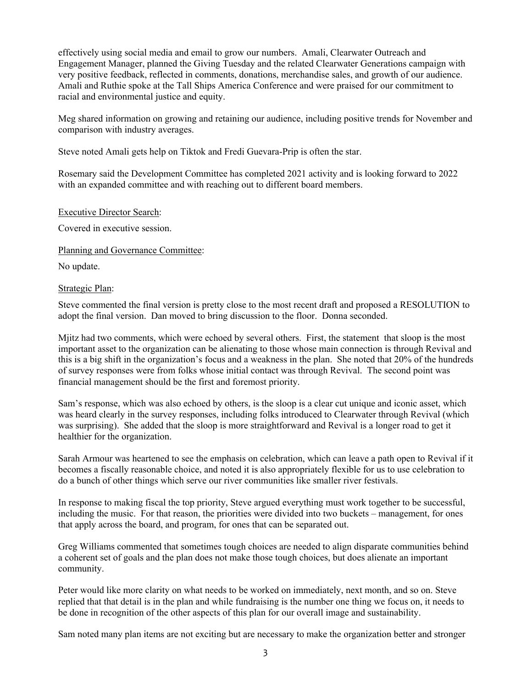effectively using social media and email to grow our numbers. Amali, Clearwater Outreach and Engagement Manager, planned the Giving Tuesday and the related Clearwater Generations campaign with very positive feedback, reflected in comments, donations, merchandise sales, and growth of our audience. Amali and Ruthie spoke at the Tall Ships America Conference and were praised for our commitment to racial and environmental justice and equity.

Meg shared information on growing and retaining our audience, including positive trends for November and comparison with industry averages.

Steve noted Amali gets help on Tiktok and Fredi Guevara-Prip is often the star.

Rosemary said the Development Committee has completed 2021 activity and is looking forward to 2022 with an expanded committee and with reaching out to different board members.

## Executive Director Search:

Covered in executive session.

Planning and Governance Committee:

No update.

## Strategic Plan:

Steve commented the final version is pretty close to the most recent draft and proposed a RESOLUTION to adopt the final version. Dan moved to bring discussion to the floor. Donna seconded.

Mjitz had two comments, which were echoed by several others. First, the statement that sloop is the most important asset to the organization can be alienating to those whose main connection is through Revival and this is a big shift in the organization's focus and a weakness in the plan. She noted that 20% of the hundreds of survey responses were from folks whose initial contact was through Revival. The second point was financial management should be the first and foremost priority.

Sam's response, which was also echoed by others, is the sloop is a clear cut unique and iconic asset, which was heard clearly in the survey responses, including folks introduced to Clearwater through Revival (which was surprising). She added that the sloop is more straightforward and Revival is a longer road to get it healthier for the organization.

Sarah Armour was heartened to see the emphasis on celebration, which can leave a path open to Revival if it becomes a fiscally reasonable choice, and noted it is also appropriately flexible for us to use celebration to do a bunch of other things which serve our river communities like smaller river festivals.

In response to making fiscal the top priority, Steve argued everything must work together to be successful, including the music. For that reason, the priorities were divided into two buckets – management, for ones that apply across the board, and program, for ones that can be separated out.

Greg Williams commented that sometimes tough choices are needed to align disparate communities behind a coherent set of goals and the plan does not make those tough choices, but does alienate an important community.

Peter would like more clarity on what needs to be worked on immediately, next month, and so on. Steve replied that that detail is in the plan and while fundraising is the number one thing we focus on, it needs to be done in recognition of the other aspects of this plan for our overall image and sustainability.

Sam noted many plan items are not exciting but are necessary to make the organization better and stronger